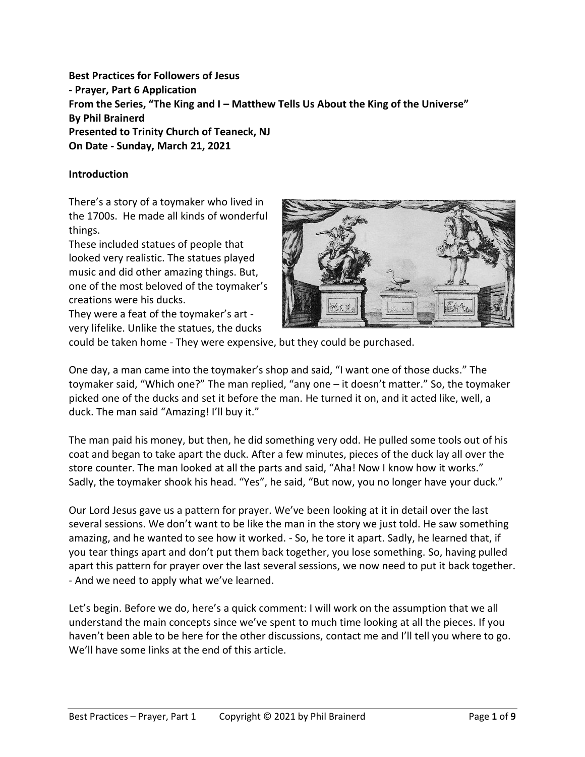**Best Practices for Followers of Jesus - Prayer, Part 6 Application From the Series, "The King and I – Matthew Tells Us About the King of the Universe" By Phil Brainerd Presented to Trinity Church of Teaneck, NJ On Date - Sunday, March 21, 2021**

### **Introduction**

There's a story of a toymaker who lived in the 1700s. He made all kinds of wonderful things.

These included statues of people that looked very realistic. The statues played music and did other amazing things. But, one of the most beloved of the toymaker's creations were his ducks.

They were a feat of the toymaker's art very lifelike. Unlike the statues, the ducks



could be taken home - They were expensive, but they could be purchased.

One day, a man came into the toymaker's shop and said, "I want one of those ducks." The toymaker said, "Which one?" The man replied, "any one – it doesn't matter." So, the toymaker picked one of the ducks and set it before the man. He turned it on, and it acted like, well, a duck. The man said "Amazing! I'll buy it."

The man paid his money, but then, he did something very odd. He pulled some tools out of his coat and began to take apart the duck. After a few minutes, pieces of the duck lay all over the store counter. The man looked at all the parts and said, "Aha! Now I know how it works." Sadly, the toymaker shook his head. "Yes", he said, "But now, you no longer have your duck."

Our Lord Jesus gave us a pattern for prayer. We've been looking at it in detail over the last several sessions. We don't want to be like the man in the story we just told. He saw something amazing, and he wanted to see how it worked. - So, he tore it apart. Sadly, he learned that, if you tear things apart and don't put them back together, you lose something. So, having pulled apart this pattern for prayer over the last several sessions, we now need to put it back together. - And we need to apply what we've learned.

Let's begin. Before we do, here's a quick comment: I will work on the assumption that we all understand the main concepts since we've spent to much time looking at all the pieces. If you haven't been able to be here for the other discussions, contact me and I'll tell you where to go. We'll have some links at the end of this article.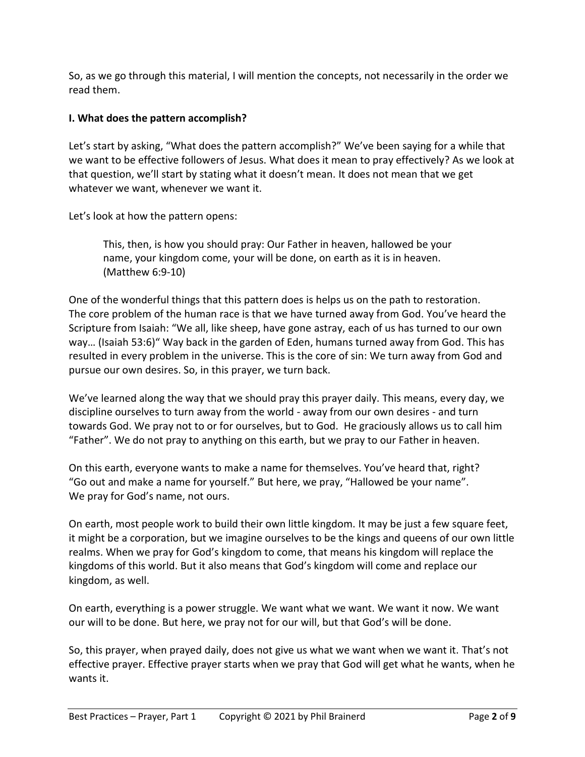So, as we go through this material, I will mention the concepts, not necessarily in the order we read them.

## **I. What does the pattern accomplish?**

Let's start by asking, "What does the pattern accomplish?" We've been saying for a while that we want to be effective followers of Jesus. What does it mean to pray effectively? As we look at that question, we'll start by stating what it doesn't mean. It does not mean that we get whatever we want, whenever we want it.

Let's look at how the pattern opens:

This, then, is how you should pray: Our Father in heaven, hallowed be your name, your kingdom come, your will be done, on earth as it is in heaven. (Matthew 6:9-10)

One of the wonderful things that this pattern does is helps us on the path to restoration. The core problem of the human race is that we have turned away from God. You've heard the Scripture from Isaiah: "We all, like sheep, have gone astray, each of us has turned to our own way… (Isaiah 53:6)" Way back in the garden of Eden, humans turned away from God. This has resulted in every problem in the universe. This is the core of sin: We turn away from God and pursue our own desires. So, in this prayer, we turn back.

We've learned along the way that we should pray this prayer daily. This means, every day, we discipline ourselves to turn away from the world - away from our own desires - and turn towards God. We pray not to or for ourselves, but to God. He graciously allows us to call him "Father". We do not pray to anything on this earth, but we pray to our Father in heaven.

On this earth, everyone wants to make a name for themselves. You've heard that, right? "Go out and make a name for yourself." But here, we pray, "Hallowed be your name". We pray for God's name, not ours.

On earth, most people work to build their own little kingdom. It may be just a few square feet, it might be a corporation, but we imagine ourselves to be the kings and queens of our own little realms. When we pray for God's kingdom to come, that means his kingdom will replace the kingdoms of this world. But it also means that God's kingdom will come and replace our kingdom, as well.

On earth, everything is a power struggle. We want what we want. We want it now. We want our will to be done. But here, we pray not for our will, but that God's will be done.

So, this prayer, when prayed daily, does not give us what we want when we want it. That's not effective prayer. Effective prayer starts when we pray that God will get what he wants, when he wants it.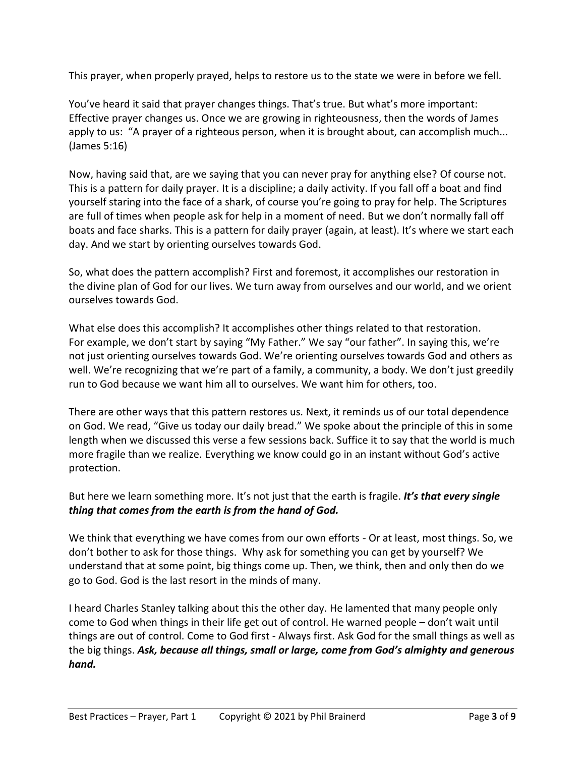This prayer, when properly prayed, helps to restore us to the state we were in before we fell.

You've heard it said that prayer changes things. That's true. But what's more important: Effective prayer changes us. Once we are growing in righteousness, then the words of James apply to us: "A prayer of a righteous person, when it is brought about, can accomplish much... (James 5:16)

Now, having said that, are we saying that you can never pray for anything else? Of course not. This is a pattern for daily prayer. It is a discipline; a daily activity. If you fall off a boat and find yourself staring into the face of a shark, of course you're going to pray for help. The Scriptures are full of times when people ask for help in a moment of need. But we don't normally fall off boats and face sharks. This is a pattern for daily prayer (again, at least). It's where we start each day. And we start by orienting ourselves towards God.

So, what does the pattern accomplish? First and foremost, it accomplishes our restoration in the divine plan of God for our lives. We turn away from ourselves and our world, and we orient ourselves towards God.

What else does this accomplish? It accomplishes other things related to that restoration. For example, we don't start by saying "My Father." We say "our father". In saying this, we're not just orienting ourselves towards God. We're orienting ourselves towards God and others as well. We're recognizing that we're part of a family, a community, a body. We don't just greedily run to God because we want him all to ourselves. We want him for others, too.

There are other ways that this pattern restores us. Next, it reminds us of our total dependence on God. We read, "Give us today our daily bread." We spoke about the principle of this in some length when we discussed this verse a few sessions back. Suffice it to say that the world is much more fragile than we realize. Everything we know could go in an instant without God's active protection.

## But here we learn something more. It's not just that the earth is fragile. *It's that every single thing that comes from the earth is from the hand of God.*

We think that everything we have comes from our own efforts - Or at least, most things. So, we don't bother to ask for those things. Why ask for something you can get by yourself? We understand that at some point, big things come up. Then, we think, then and only then do we go to God. God is the last resort in the minds of many.

I heard Charles Stanley talking about this the other day. He lamented that many people only come to God when things in their life get out of control. He warned people – don't wait until things are out of control. Come to God first - Always first. Ask God for the small things as well as the big things. *Ask, because all things, small or large, come from God's almighty and generous hand.*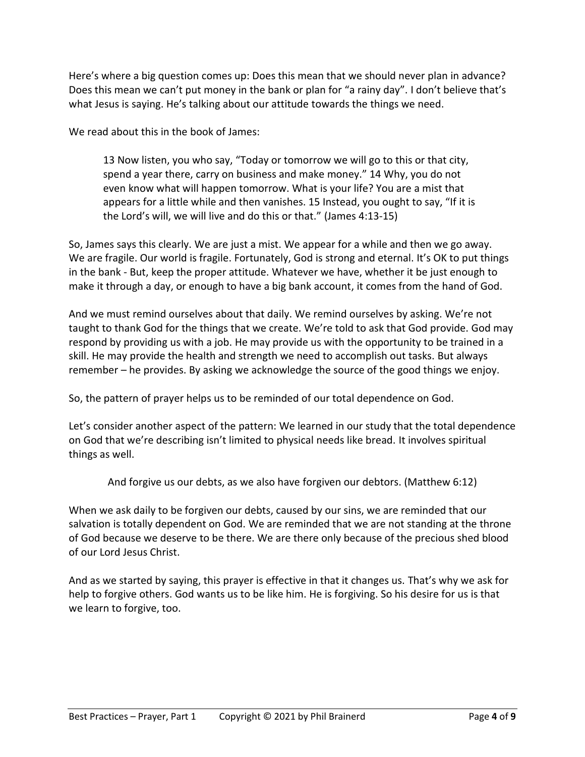Here's where a big question comes up: Does this mean that we should never plan in advance? Does this mean we can't put money in the bank or plan for "a rainy day". I don't believe that's what Jesus is saying. He's talking about our attitude towards the things we need.

We read about this in the book of James:

13 Now listen, you who say, "Today or tomorrow we will go to this or that city, spend a year there, carry on business and make money." 14 Why, you do not even know what will happen tomorrow. What is your life? You are a mist that appears for a little while and then vanishes. 15 Instead, you ought to say, "If it is the Lord's will, we will live and do this or that." (James 4:13-15)

So, James says this clearly. We are just a mist. We appear for a while and then we go away. We are fragile. Our world is fragile. Fortunately, God is strong and eternal. It's OK to put things in the bank - But, keep the proper attitude. Whatever we have, whether it be just enough to make it through a day, or enough to have a big bank account, it comes from the hand of God.

And we must remind ourselves about that daily. We remind ourselves by asking. We're not taught to thank God for the things that we create. We're told to ask that God provide. God may respond by providing us with a job. He may provide us with the opportunity to be trained in a skill. He may provide the health and strength we need to accomplish out tasks. But always remember – he provides. By asking we acknowledge the source of the good things we enjoy.

So, the pattern of prayer helps us to be reminded of our total dependence on God.

Let's consider another aspect of the pattern: We learned in our study that the total dependence on God that we're describing isn't limited to physical needs like bread. It involves spiritual things as well.

And forgive us our debts, as we also have forgiven our debtors. (Matthew 6:12)

When we ask daily to be forgiven our debts, caused by our sins, we are reminded that our salvation is totally dependent on God. We are reminded that we are not standing at the throne of God because we deserve to be there. We are there only because of the precious shed blood of our Lord Jesus Christ.

And as we started by saying, this prayer is effective in that it changes us. That's why we ask for help to forgive others. God wants us to be like him. He is forgiving. So his desire for us is that we learn to forgive, too.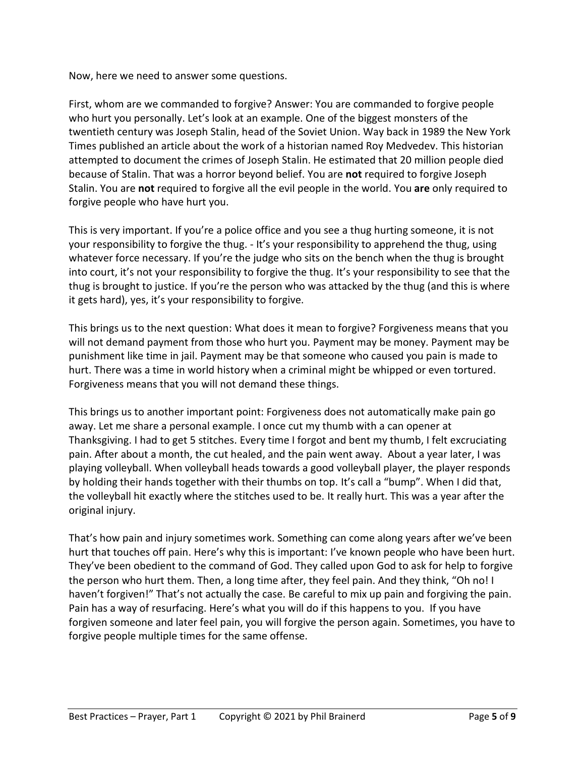Now, here we need to answer some questions.

First, whom are we commanded to forgive? Answer: You are commanded to forgive people who hurt you personally. Let's look at an example. One of the biggest monsters of the twentieth century was Joseph Stalin, head of the Soviet Union. Way back in 1989 the New York Times published an article about the work of a historian named Roy Medvedev. This historian attempted to document the crimes of Joseph Stalin. He estimated that 20 million people died because of Stalin. That was a horror beyond belief. You are **not** required to forgive Joseph Stalin. You are **not** required to forgive all the evil people in the world. You **are** only required to forgive people who have hurt you.

This is very important. If you're a police office and you see a thug hurting someone, it is not your responsibility to forgive the thug. - It's your responsibility to apprehend the thug, using whatever force necessary. If you're the judge who sits on the bench when the thug is brought into court, it's not your responsibility to forgive the thug. It's your responsibility to see that the thug is brought to justice. If you're the person who was attacked by the thug (and this is where it gets hard), yes, it's your responsibility to forgive.

This brings us to the next question: What does it mean to forgive? Forgiveness means that you will not demand payment from those who hurt you. Payment may be money. Payment may be punishment like time in jail. Payment may be that someone who caused you pain is made to hurt. There was a time in world history when a criminal might be whipped or even tortured. Forgiveness means that you will not demand these things.

This brings us to another important point: Forgiveness does not automatically make pain go away. Let me share a personal example. I once cut my thumb with a can opener at Thanksgiving. I had to get 5 stitches. Every time I forgot and bent my thumb, I felt excruciating pain. After about a month, the cut healed, and the pain went away. About a year later, I was playing volleyball. When volleyball heads towards a good volleyball player, the player responds by holding their hands together with their thumbs on top. It's call a "bump". When I did that, the volleyball hit exactly where the stitches used to be. It really hurt. This was a year after the original injury.

That's how pain and injury sometimes work. Something can come along years after we've been hurt that touches off pain. Here's why this is important: I've known people who have been hurt. They've been obedient to the command of God. They called upon God to ask for help to forgive the person who hurt them. Then, a long time after, they feel pain. And they think, "Oh no! I haven't forgiven!" That's not actually the case. Be careful to mix up pain and forgiving the pain. Pain has a way of resurfacing. Here's what you will do if this happens to you. If you have forgiven someone and later feel pain, you will forgive the person again. Sometimes, you have to forgive people multiple times for the same offense.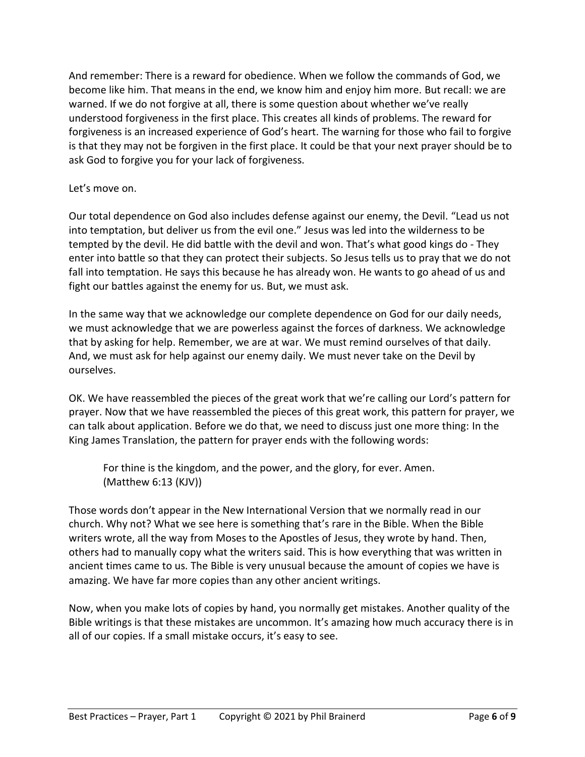And remember: There is a reward for obedience. When we follow the commands of God, we become like him. That means in the end, we know him and enjoy him more. But recall: we are warned. If we do not forgive at all, there is some question about whether we've really understood forgiveness in the first place. This creates all kinds of problems. The reward for forgiveness is an increased experience of God's heart. The warning for those who fail to forgive is that they may not be forgiven in the first place. It could be that your next prayer should be to ask God to forgive you for your lack of forgiveness.

### Let's move on.

Our total dependence on God also includes defense against our enemy, the Devil. "Lead us not into temptation, but deliver us from the evil one." Jesus was led into the wilderness to be tempted by the devil. He did battle with the devil and won. That's what good kings do - They enter into battle so that they can protect their subjects. So Jesus tells us to pray that we do not fall into temptation. He says this because he has already won. He wants to go ahead of us and fight our battles against the enemy for us. But, we must ask.

In the same way that we acknowledge our complete dependence on God for our daily needs, we must acknowledge that we are powerless against the forces of darkness. We acknowledge that by asking for help. Remember, we are at war. We must remind ourselves of that daily. And, we must ask for help against our enemy daily. We must never take on the Devil by ourselves.

OK. We have reassembled the pieces of the great work that we're calling our Lord's pattern for prayer. Now that we have reassembled the pieces of this great work, this pattern for prayer, we can talk about application. Before we do that, we need to discuss just one more thing: In the King James Translation, the pattern for prayer ends with the following words:

For thine is the kingdom, and the power, and the glory, for ever. Amen. (Matthew 6:13 (KJV))

Those words don't appear in the New International Version that we normally read in our church. Why not? What we see here is something that's rare in the Bible. When the Bible writers wrote, all the way from Moses to the Apostles of Jesus, they wrote by hand. Then, others had to manually copy what the writers said. This is how everything that was written in ancient times came to us. The Bible is very unusual because the amount of copies we have is amazing. We have far more copies than any other ancient writings.

Now, when you make lots of copies by hand, you normally get mistakes. Another quality of the Bible writings is that these mistakes are uncommon. It's amazing how much accuracy there is in all of our copies. If a small mistake occurs, it's easy to see.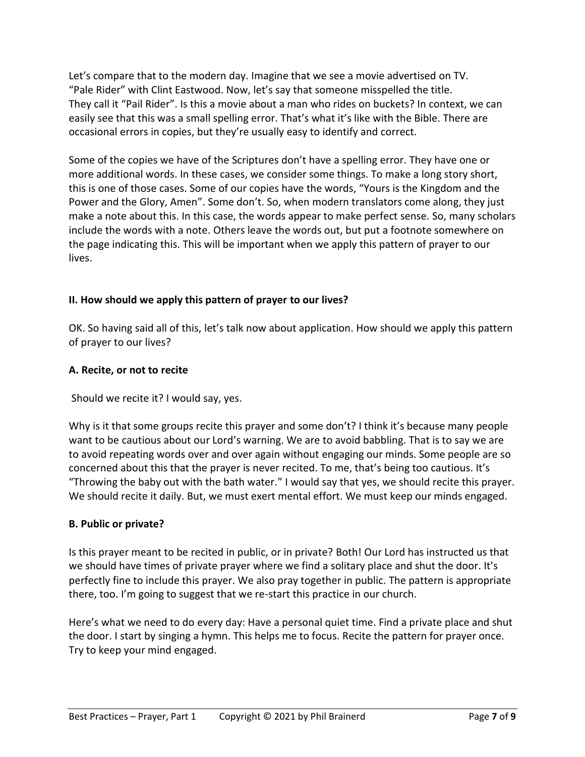Let's compare that to the modern day. Imagine that we see a movie advertised on TV. "Pale Rider" with Clint Eastwood. Now, let's say that someone misspelled the title. They call it "Pail Rider". Is this a movie about a man who rides on buckets? In context, we can easily see that this was a small spelling error. That's what it's like with the Bible. There are occasional errors in copies, but they're usually easy to identify and correct.

Some of the copies we have of the Scriptures don't have a spelling error. They have one or more additional words. In these cases, we consider some things. To make a long story short, this is one of those cases. Some of our copies have the words, "Yours is the Kingdom and the Power and the Glory, Amen". Some don't. So, when modern translators come along, they just make a note about this. In this case, the words appear to make perfect sense. So, many scholars include the words with a note. Others leave the words out, but put a footnote somewhere on the page indicating this. This will be important when we apply this pattern of prayer to our lives.

# **II. How should we apply this pattern of prayer to our lives?**

OK. So having said all of this, let's talk now about application. How should we apply this pattern of prayer to our lives?

## **A. Recite, or not to recite**

Should we recite it? I would say, yes.

Why is it that some groups recite this prayer and some don't? I think it's because many people want to be cautious about our Lord's warning. We are to avoid babbling. That is to say we are to avoid repeating words over and over again without engaging our minds. Some people are so concerned about this that the prayer is never recited. To me, that's being too cautious. It's "Throwing the baby out with the bath water." I would say that yes, we should recite this prayer. We should recite it daily. But, we must exert mental effort. We must keep our minds engaged.

#### **B. Public or private?**

Is this prayer meant to be recited in public, or in private? Both! Our Lord has instructed us that we should have times of private prayer where we find a solitary place and shut the door. It's perfectly fine to include this prayer. We also pray together in public. The pattern is appropriate there, too. I'm going to suggest that we re-start this practice in our church.

Here's what we need to do every day: Have a personal quiet time. Find a private place and shut the door. I start by singing a hymn. This helps me to focus. Recite the pattern for prayer once. Try to keep your mind engaged.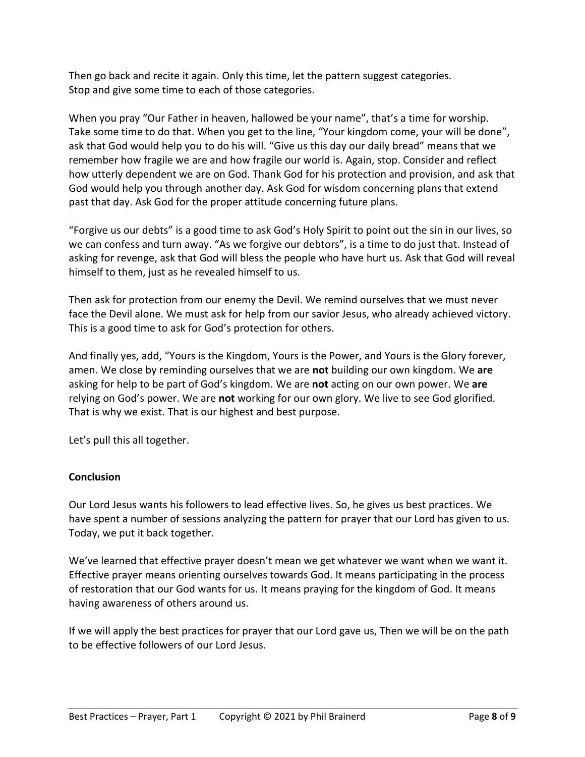Then go back and recite it again. Only this time, let the pattern suggest categories. Stop and give some time to each of those categories.

When you pray "Our Father in heaven, hallowed be your name", that's a time for worship. Take some time to do that. When you get to the line, "Your kingdom come, your will be done", ask that God would help you to do his will. "Give us this day our daily bread" means that we remember how fragile we are and how fragile our world is. Again, stop. Consider and reflect how utterly dependent we are on God. Thank God for his protection and provision, and ask that God would help you through another day. Ask God for wisdom concerning plans that extend past that day. Ask God for the proper attitude concerning future plans.

"Forgive us our debts" is a good time to ask God's Holy Spirit to point out the sin in our lives, so we can confess and turn away. "As we forgive our debtors", is a time to do just that. Instead of asking for revenge, ask that God will bless the people who have hurt us. Ask that God will reveal himself to them, just as he revealed himself to us.

Then ask for protection from our enemy the Devil. We remind ourselves that we must never face the Devil alone. We must ask for help from our savior Jesus, who already achieved victory. This is a good time to ask for God's protection for others.

And finally yes, add, "Yours is the Kingdom, Yours is the Power, and Yours is the Glory forever, amen. We close by reminding ourselves that we are **not** building our own kingdom. We **are** asking for help to be part of God's kingdom. We are **not** acting on our own power. We **are** relying on God's power. We are **not** working for our own glory. We live to see God glorified. That is why we exist. That is our highest and best purpose.

Let's pull this all together.

# **Conclusion**

Our Lord Jesus wants his followers to lead effective lives. So, he gives us best practices. We have spent a number of sessions analyzing the pattern for prayer that our Lord has given to us. Today, we put it back together.

We've learned that effective prayer doesn't mean we get whatever we want when we want it. Effective prayer means orienting ourselves towards God. It means participating in the process of restoration that our God wants for us. It means praying for the kingdom of God. It means having awareness of others around us.

If we will apply the best practices for prayer that our Lord gave us, Then we will be on the path to be effective followers of our Lord Jesus.